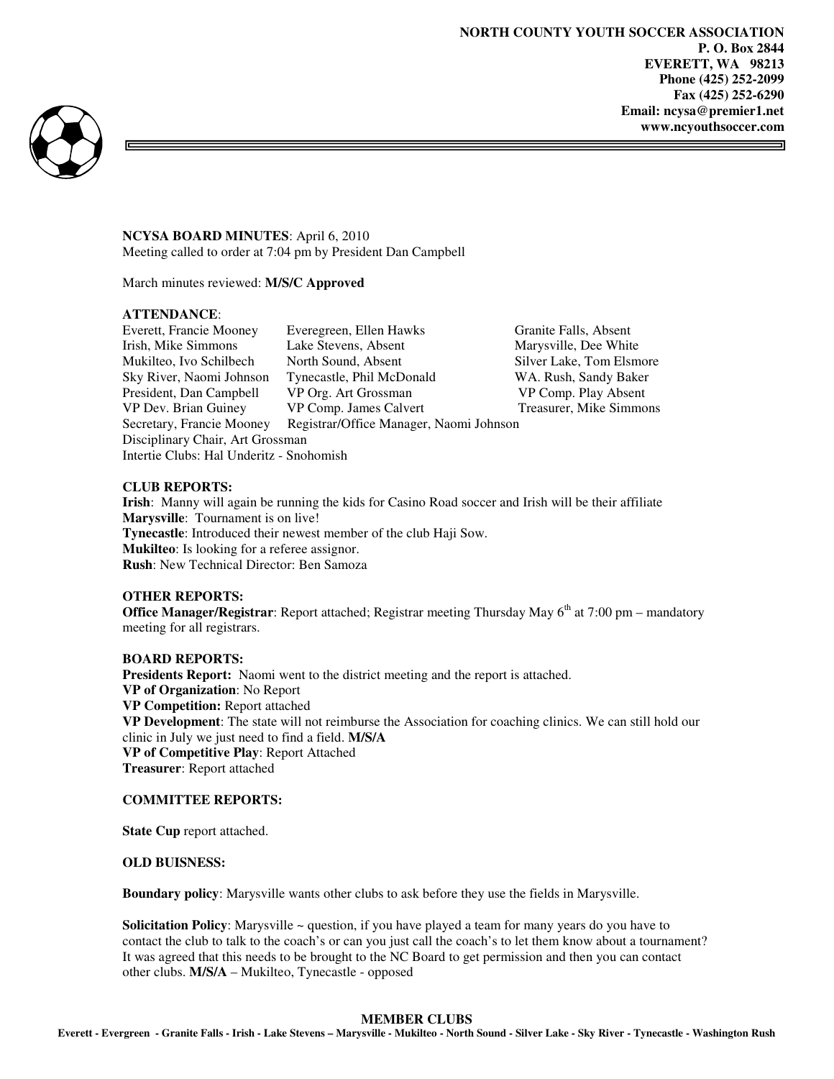ᆿ



**NCYSA BOARD MINUTES**: April 6, 2010 Meeting called to order at 7:04 pm by President Dan Campbell

March minutes reviewed: **M/S/C Approved** 

## **ATTENDANCE**:

| Everett, Francie Mooney                  | Everegreen, Ellen Hawks                 | Granite Falls, Absent    |
|------------------------------------------|-----------------------------------------|--------------------------|
| Irish, Mike Simmons                      | Lake Stevens, Absent                    | Marysville, Dee White    |
| Mukilteo, Ivo Schilbech                  | North Sound, Absent                     | Silver Lake, Tom Elsmore |
| Sky River, Naomi Johnson                 | Tynecastle, Phil McDonald               | WA. Rush, Sandy Baker    |
| President, Dan Campbell                  | VP Org. Art Grossman                    | VP Comp. Play Absent     |
| VP Dev. Brian Guiney                     | VP Comp. James Calvert                  | Treasurer, Mike Simmons  |
| Secretary, Francie Mooney                | Registrar/Office Manager, Naomi Johnson |                          |
| Disciplinary Chair, Art Grossman         |                                         |                          |
| Intertie Clubs: Hal Underitz - Snohomish |                                         |                          |

## **CLUB REPORTS:**

**Irish**: Manny will again be running the kids for Casino Road soccer and Irish will be their affiliate **Marysville**: Tournament is on live! **Tynecastle**: Introduced their newest member of the club Haji Sow. **Mukilteo**: Is looking for a referee assignor. **Rush**: New Technical Director: Ben Samoza

#### **OTHER REPORTS:**

**Office Manager/Registrar**: Report attached; Registrar meeting Thursday May 6<sup>th</sup> at 7:00 pm – mandatory meeting for all registrars.

### **BOARD REPORTS:**

Presidents Report: Naomi went to the district meeting and the report is attached. **VP of Organization**: No Report **VP Competition:** Report attached **VP Development**: The state will not reimburse the Association for coaching clinics. We can still hold our clinic in July we just need to find a field. **M/S/A VP of Competitive Play**: Report Attached **Treasurer**: Report attached

#### **COMMITTEE REPORTS:**

**State Cup** report attached.

#### **OLD BUISNESS:**

**Boundary policy**: Marysville wants other clubs to ask before they use the fields in Marysville.

**Solicitation Policy**: Marysville ~ question, if you have played a team for many years do you have to contact the club to talk to the coach's or can you just call the coach's to let them know about a tournament? It was agreed that this needs to be brought to the NC Board to get permission and then you can contact other clubs. **M/S/A** – Mukilteo, Tynecastle - opposed

## **MEMBER CLUBS**